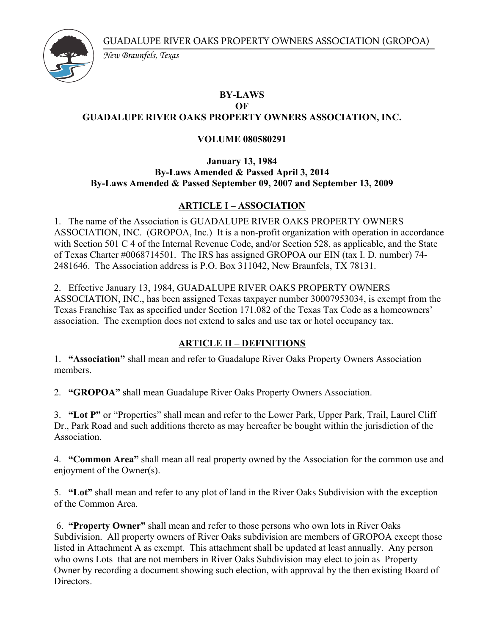

*New Braunfels, Texas*

# **BY-LAWS**

#### **OF GUADALUPE RIVER OAKS PROPERTY OWNERS ASSOCIATION, INC.**

#### **VOLUME 080580291**

#### **January 13, 1984 By-Laws Amended & Passed April 3, 2014 By-Laws Amended & Passed September 09, 2007 and September 13, 2009**

# **ARTICLE I – ASSOCIATION**

1. The name of the Association is GUADALUPE RIVER OAKS PROPERTY OWNERS ASSOCIATION, INC. (GROPOA, Inc.) It is a non-profit organization with operation in accordance with Section 501 C 4 of the Internal Revenue Code, and/or Section 528, as applicable, and the State of Texas Charter #0068714501. The IRS has assigned GROPOA our EIN (tax I. D. number) 74- 2481646. The Association address is P.O. Box 311042, New Braunfels, TX 78131.

2. Effective January 13, 1984, GUADALUPE RIVER OAKS PROPERTY OWNERS ASSOCIATION, INC., has been assigned Texas taxpayer number 30007953034, is exempt from the Texas Franchise Tax as specified under Section 171.082 of the Texas Tax Code as a homeowners' association. The exemption does not extend to sales and use tax or hotel occupancy tax.

## **ARTICLE II – DEFINITIONS**

1. **"Association"** shall mean and refer to Guadalupe River Oaks Property Owners Association members.

2. **"GROPOA"** shall mean Guadalupe River Oaks Property Owners Association.

3. **"Lot P"** or "Properties" shall mean and refer to the Lower Park, Upper Park, Trail, Laurel Cliff Dr., Park Road and such additions thereto as may hereafter be bought within the jurisdiction of the **Association** 

4. **"Common Area"** shall mean all real property owned by the Association for the common use and enjoyment of the Owner(s).

5. **"Lot"** shall mean and refer to any plot of land in the River Oaks Subdivision with the exception of the Common Area.

6. **"Property Owner"** shall mean and refer to those persons who own lots in River Oaks Subdivision. All property owners of River Oaks subdivision are members of GROPOA except those listed in Attachment A as exempt. This attachment shall be updated at least annually. Any person who owns Lots that are not members in River Oaks Subdivision may elect to join as Property Owner by recording a document showing such election, with approval by the then existing Board of **Directors**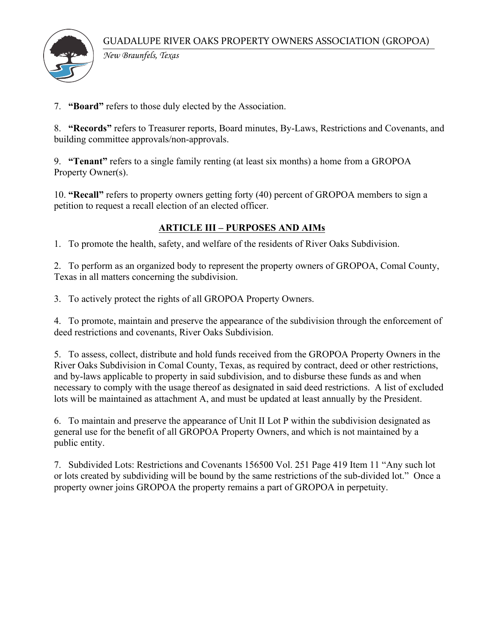

*New Braunfels, Texas*

7. **"Board"** refers to those duly elected by the Association.

8. **"Records"** refers to Treasurer reports, Board minutes, By-Laws, Restrictions and Covenants, and building committee approvals/non-approvals.

9. **"Tenant"** refers to a single family renting (at least six months) a home from a GROPOA Property Owner(s).

10. **"Recall"** refers to property owners getting forty (40) percent of GROPOA members to sign a petition to request a recall election of an elected officer.

## **ARTICLE III – PURPOSES AND AIMs**

1. To promote the health, safety, and welfare of the residents of River Oaks Subdivision.

2. To perform as an organized body to represent the property owners of GROPOA, Comal County, Texas in all matters concerning the subdivision.

3. To actively protect the rights of all GROPOA Property Owners.

4. To promote, maintain and preserve the appearance of the subdivision through the enforcement of deed restrictions and covenants, River Oaks Subdivision.

5. To assess, collect, distribute and hold funds received from the GROPOA Property Owners in the River Oaks Subdivision in Comal County, Texas, as required by contract, deed or other restrictions, and by-laws applicable to property in said subdivision, and to disburse these funds as and when necessary to comply with the usage thereof as designated in said deed restrictions. A list of excluded lots will be maintained as attachment A, and must be updated at least annually by the President.

6. To maintain and preserve the appearance of Unit II Lot P within the subdivision designated as general use for the benefit of all GROPOA Property Owners, and which is not maintained by a public entity.

7. Subdivided Lots: Restrictions and Covenants 156500 Vol. 251 Page 419 Item 11 "Any such lot or lots created by subdividing will be bound by the same restrictions of the sub-divided lot." Once a property owner joins GROPOA the property remains a part of GROPOA in perpetuity.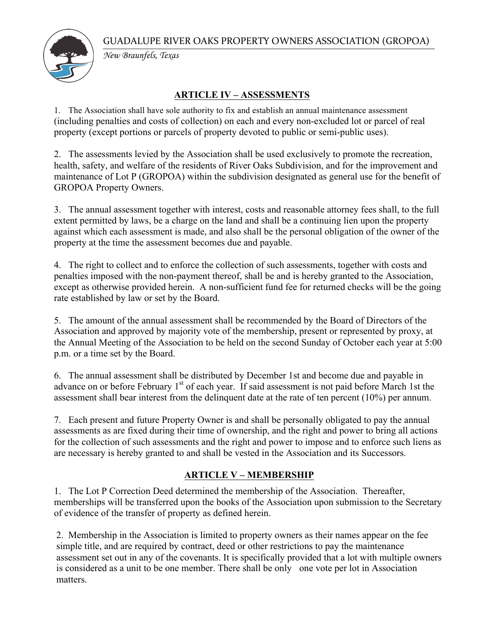

*New Braunfels, Texas*

## **ARTICLE IV – ASSESSMENTS**

1. The Association shall have sole authority to fix and establish an annual maintenance assessment (including penalties and costs of collection) on each and every non-excluded lot or parcel of real property (except portions or parcels of property devoted to public or semi-public uses).

2. The assessments levied by the Association shall be used exclusively to promote the recreation, health, safety, and welfare of the residents of River Oaks Subdivision, and for the improvement and maintenance of Lot P (GROPOA) within the subdivision designated as general use for the benefit of GROPOA Property Owners.

3. The annual assessment together with interest, costs and reasonable attorney fees shall, to the full extent permitted by laws, be a charge on the land and shall be a continuing lien upon the property against which each assessment is made, and also shall be the personal obligation of the owner of the property at the time the assessment becomes due and payable.

4. The right to collect and to enforce the collection of such assessments, together with costs and penalties imposed with the non-payment thereof, shall be and is hereby granted to the Association, except as otherwise provided herein. A non-sufficient fund fee for returned checks will be the going rate established by law or set by the Board.

5. The amount of the annual assessment shall be recommended by the Board of Directors of the Association and approved by majority vote of the membership, present or represented by proxy, at the Annual Meeting of the Association to be held on the second Sunday of October each year at 5:00 p.m. or a time set by the Board.

6. The annual assessment shall be distributed by December 1st and become due and payable in advance on or before February 1<sup>st</sup> of each year. If said assessment is not paid before March 1st the assessment shall bear interest from the delinquent date at the rate of ten percent (10%) per annum.

7. Each present and future Property Owner is and shall be personally obligated to pay the annual assessments as are fixed during their time of ownership, and the right and power to bring all actions for the collection of such assessments and the right and power to impose and to enforce such liens as are necessary is hereby granted to and shall be vested in the Association and its Successors.

## **ARTICLE V – MEMBERSHIP**

1. The Lot P Correction Deed determined the membership of the Association. Thereafter, memberships will be transferred upon the books of the Association upon submission to the Secretary of evidence of the transfer of property as defined herein.

2. Membership in the Association is limited to property owners as their names appear on the fee simple title, and are required by contract, deed or other restrictions to pay the maintenance assessment set out in any of the covenants. It is specifically provided that a lot with multiple owners is considered as a unit to be one member. There shall be only one vote per lot in Association matters.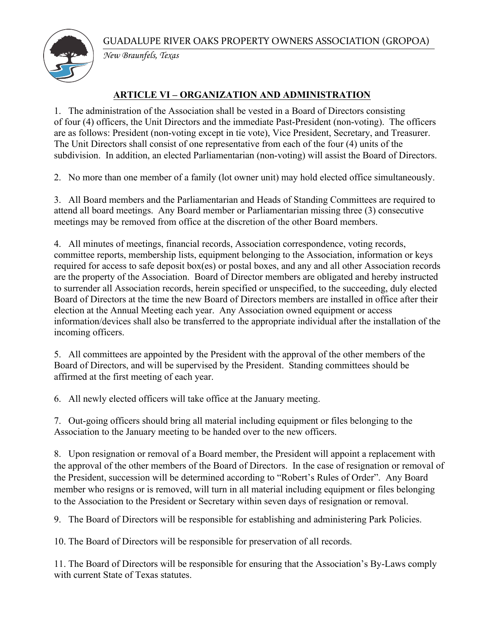

*New Braunfels, Texas*

## **ARTICLE VI – ORGANIZATION AND ADMINISTRATION**

1. The administration of the Association shall be vested in a Board of Directors consisting of four (4) officers, the Unit Directors and the immediate Past-President (non-voting). The officers are as follows: President (non-voting except in tie vote), Vice President, Secretary, and Treasurer. The Unit Directors shall consist of one representative from each of the four (4) units of the subdivision. In addition, an elected Parliamentarian (non-voting) will assist the Board of Directors.

2. No more than one member of a family (lot owner unit) may hold elected office simultaneously.

3. All Board members and the Parliamentarian and Heads of Standing Committees are required to attend all board meetings. Any Board member or Parliamentarian missing three (3) consecutive meetings may be removed from office at the discretion of the other Board members.

4. All minutes of meetings, financial records, Association correspondence, voting records, committee reports, membership lists, equipment belonging to the Association, information or keys required for access to safe deposit box(es) or postal boxes, and any and all other Association records are the property of the Association. Board of Director members are obligated and hereby instructed to surrender all Association records, herein specified or unspecified, to the succeeding, duly elected Board of Directors at the time the new Board of Directors members are installed in office after their election at the Annual Meeting each year. Any Association owned equipment or access information/devices shall also be transferred to the appropriate individual after the installation of the incoming officers.

5. All committees are appointed by the President with the approval of the other members of the Board of Directors, and will be supervised by the President. Standing committees should be affirmed at the first meeting of each year.

6. All newly elected officers will take office at the January meeting.

7. Out-going officers should bring all material including equipment or files belonging to the Association to the January meeting to be handed over to the new officers.

8. Upon resignation or removal of a Board member, the President will appoint a replacement with the approval of the other members of the Board of Directors. In the case of resignation or removal of the President, succession will be determined according to "Robert's Rules of Order". Any Board member who resigns or is removed, will turn in all material including equipment or files belonging to the Association to the President or Secretary within seven days of resignation or removal.

9. The Board of Directors will be responsible for establishing and administering Park Policies.

10. The Board of Directors will be responsible for preservation of all records.

11. The Board of Directors will be responsible for ensuring that the Association's By-Laws comply with current State of Texas statutes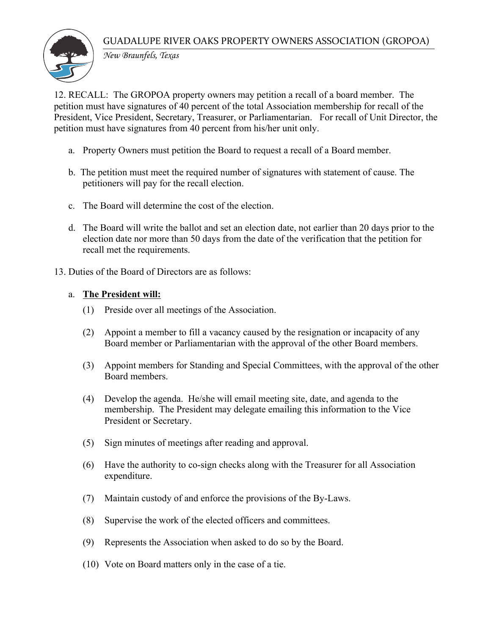

*New Braunfels, Texas*

12. RECALL: The GROPOA property owners may petition a recall of a board member. The petition must have signatures of 40 percent of the total Association membership for recall of the President, Vice President, Secretary, Treasurer, or Parliamentarian. For recall of Unit Director, the petition must have signatures from 40 percent from his/her unit only.

- a. Property Owners must petition the Board to request a recall of a Board member.
- b. The petition must meet the required number of signatures with statement of cause. The petitioners will pay for the recall election.
- c. The Board will determine the cost of the election.
- d. The Board will write the ballot and set an election date, not earlier than 20 days prior to the election date nor more than 50 days from the date of the verification that the petition for recall met the requirements.
- 13. Duties of the Board of Directors are as follows:

#### a. **The President will:**

- (1) Preside over all meetings of the Association.
- (2) Appoint a member to fill a vacancy caused by the resignation or incapacity of any Board member or Parliamentarian with the approval of the other Board members.
- (3) Appoint members for Standing and Special Committees, with the approval of the other Board members.
- (4) Develop the agenda. He/she will email meeting site, date, and agenda to the membership. The President may delegate emailing this information to the Vice President or Secretary.
- (5) Sign minutes of meetings after reading and approval.
- (6) Have the authority to co-sign checks along with the Treasurer for all Association expenditure.
- (7) Maintain custody of and enforce the provisions of the By-Laws.
- (8) Supervise the work of the elected officers and committees.
- (9) Represents the Association when asked to do so by the Board.
- (10) Vote on Board matters only in the case of a tie.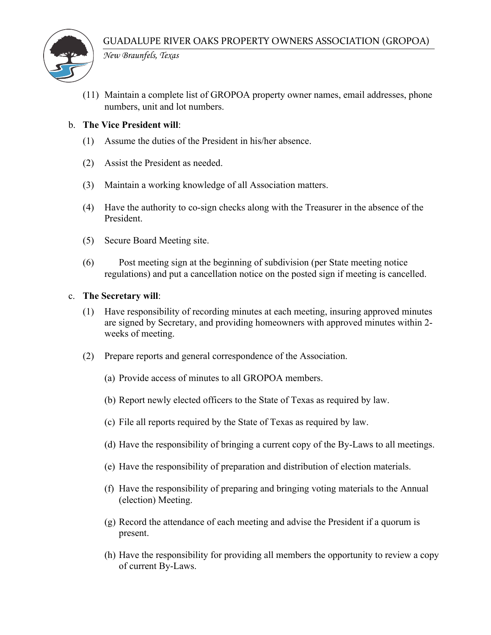

*New Braunfels, Texas*

(11) Maintain a complete list of GROPOA property owner names, email addresses, phone numbers, unit and lot numbers.

#### b. **The Vice President will**:

- (1) Assume the duties of the President in his/her absence.
- (2) Assist the President as needed.
- (3) Maintain a working knowledge of all Association matters.
- (4) Have the authority to co-sign checks along with the Treasurer in the absence of the President.
- (5) Secure Board Meeting site.
- (6) Post meeting sign at the beginning of subdivision (per State meeting notice regulations) and put a cancellation notice on the posted sign if meeting is cancelled.

#### c. **The Secretary will**:

- (1) Have responsibility of recording minutes at each meeting, insuring approved minutes are signed by Secretary, and providing homeowners with approved minutes within 2 weeks of meeting.
- (2) Prepare reports and general correspondence of the Association.
	- (a) Provide access of minutes to all GROPOA members.
	- (b) Report newly elected officers to the State of Texas as required by law.
	- (c) File all reports required by the State of Texas as required by law.
	- (d) Have the responsibility of bringing a current copy of the By-Laws to all meetings.
	- (e) Have the responsibility of preparation and distribution of election materials.
	- (f) Have the responsibility of preparing and bringing voting materials to the Annual (election) Meeting.
	- (g) Record the attendance of each meeting and advise the President if a quorum is present.
	- (h) Have the responsibility for providing all members the opportunity to review a copy of current By-Laws.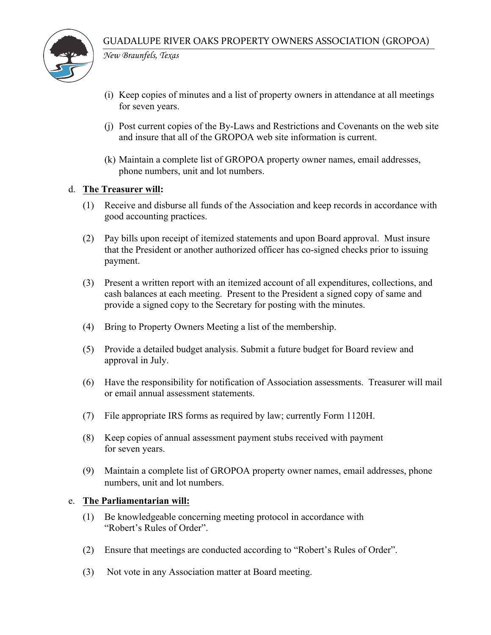

*New Braunfels, Texas*

- (i) Keep copies of minutes and a list of property owners in attendance at all meetings for seven years.
- (j) Post current copies of the By-Laws and Restrictions and Covenants on the web site and insure that all of the GROPOA web site information is current.
- (k) Maintain a complete list of GROPOA property owner names, email addresses, phone numbers, unit and lot numbers.

#### d. **The Treasurer will:**

- (1) Receive and disburse all funds of the Association and keep records in accordance with good accounting practices.
- (2) Pay bills upon receipt of itemized statements and upon Board approval. Must insure that the President or another authorized officer has co-signed checks prior to issuing payment.
- (3) Present a written report with an itemized account of all expenditures, collections, and cash balances at each meeting. Present to the President a signed copy of same and provide a signed copy to the Secretary for posting with the minutes.
- (4) Bring to Property Owners Meeting a list of the membership.
- (5) Provide a detailed budget analysis. Submit a future budget for Board review and approval in July.
- (6) Have the responsibility for notification of Association assessments. Treasurer will mail or email annual assessment statements.
- (7) File appropriate IRS forms as required by law; currently Form 1120H.
- (8) Keep copies of annual assessment payment stubs received with payment for seven years.
- (9) Maintain a complete list of GROPOA property owner names, email addresses, phone numbers, unit and lot numbers.

#### e. **The Parliamentarian will:**

- (1) Be knowledgeable concerning meeting protocol in accordance with "Robert's Rules of Order".
- (2) Ensure that meetings are conducted according to "Robert's Rules of Order".
- (3) Not vote in any Association matter at Board meeting.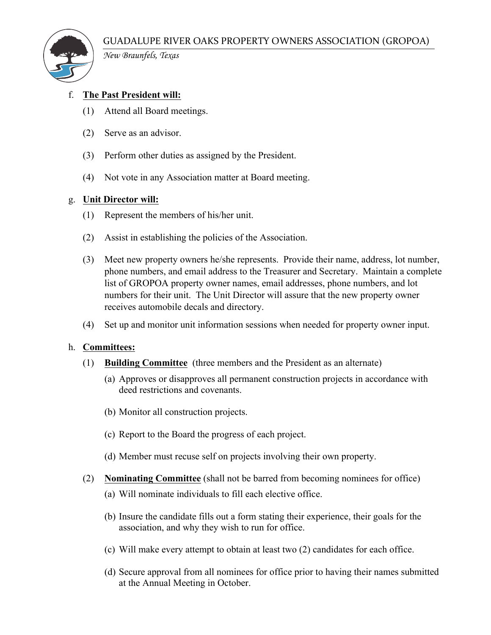

*New Braunfels, Texas*

## f. **The Past President will:**

- (1) Attend all Board meetings.
- (2) Serve as an advisor.
- (3) Perform other duties as assigned by the President.
- (4) Not vote in any Association matter at Board meeting.

#### g. **Unit Director will:**

- (1) Represent the members of his/her unit.
- (2) Assist in establishing the policies of the Association.
- (3) Meet new property owners he/she represents. Provide their name, address, lot number, phone numbers, and email address to the Treasurer and Secretary. Maintain a complete list of GROPOA property owner names, email addresses, phone numbers, and lot numbers for their unit. The Unit Director will assure that the new property owner receives automobile decals and directory.
- (4) Set up and monitor unit information sessions when needed for property owner input.

#### h. **Committees:**

- (1) **Building Committee** (three members and the President as an alternate)
	- (a) Approves or disapproves all permanent construction projects in accordance with deed restrictions and covenants.
	- (b) Monitor all construction projects.
	- (c) Report to the Board the progress of each project.
	- (d) Member must recuse self on projects involving their own property.
- (2) **Nominating Committee** (shall not be barred from becoming nominees for office)
	- (a) Will nominate individuals to fill each elective office.
	- (b) Insure the candidate fills out a form stating their experience, their goals for the association, and why they wish to run for office.
	- (c) Will make every attempt to obtain at least two (2) candidates for each office.
	- (d) Secure approval from all nominees for office prior to having their names submitted at the Annual Meeting in October.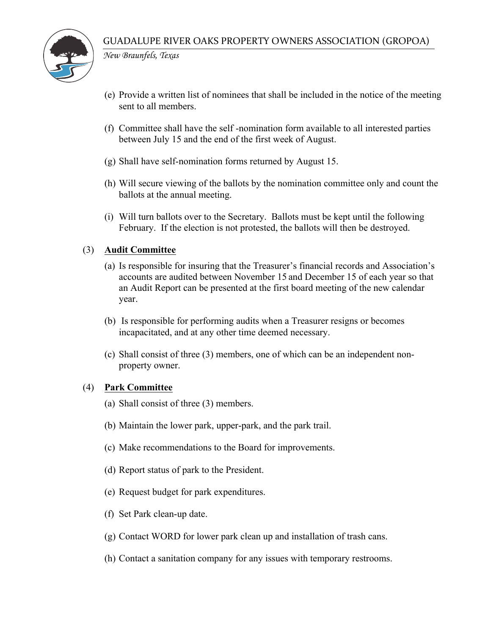

*New Braunfels, Texas*

- (e) Provide a written list of nominees that shall be included in the notice of the meeting sent to all members.
- (f) Committee shall have the self -nomination form available to all interested parties between July 15 and the end of the first week of August.
- (g) Shall have self-nomination forms returned by August 15.
- (h) Will secure viewing of the ballots by the nomination committee only and count the ballots at the annual meeting.
- (i) Will turn ballots over to the Secretary. Ballots must be kept until the following February. If the election is not protested, the ballots will then be destroyed.

#### (3) **Audit Committee**

- (a) Is responsible for insuring that the Treasurer's financial records and Association's accounts are audited between November 15 and December 15 of each year so that an Audit Report can be presented at the first board meeting of the new calendar year.
- (b) Is responsible for performing audits when a Treasurer resigns or becomes incapacitated, and at any other time deemed necessary.
- (c) Shall consist of three (3) members, one of which can be an independent nonproperty owner.

#### (4) **Park Committee**

- (a) Shall consist of three (3) members.
- (b) Maintain the lower park, upper-park, and the park trail.
- (c) Make recommendations to the Board for improvements.
- (d) Report status of park to the President.
- (e) Request budget for park expenditures.
- (f) Set Park clean-up date.
- (g) Contact WORD for lower park clean up and installation of trash cans.
- (h) Contact a sanitation company for any issues with temporary restrooms.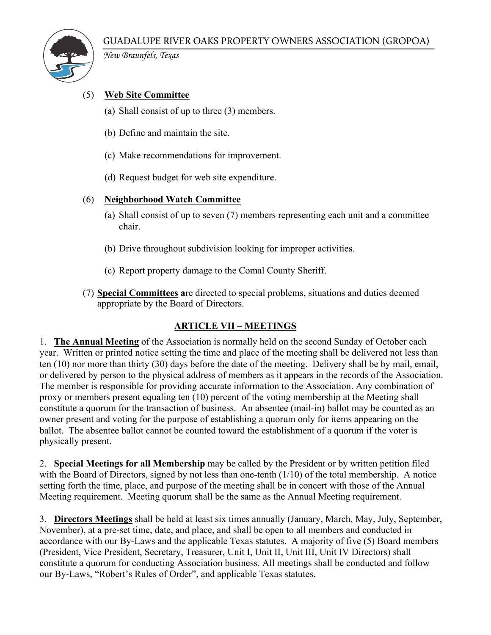

*New Braunfels, Texas*

## (5) **Web Site Committee**

- (a) Shall consist of up to three (3) members.
- (b) Define and maintain the site.
- (c) Make recommendations for improvement.
- (d) Request budget for web site expenditure.

#### (6) **Neighborhood Watch Committee**

- (a) Shall consist of up to seven (7) members representing each unit and a committee chair.
- (b) Drive throughout subdivision looking for improper activities.
- (c) Report property damage to the Comal County Sheriff.
- (7) **Special Committees a**re directed to special problems, situations and duties deemed appropriate by the Board of Directors.

#### **ARTICLE VII – MEETINGS**

1. **The Annual Meeting** of the Association is normally held on the second Sunday of October each year. Written or printed notice setting the time and place of the meeting shall be delivered not less than ten (10) nor more than thirty (30) days before the date of the meeting. Delivery shall be by mail, email, or delivered by person to the physical address of members as it appears in the records of the Association. The member is responsible for providing accurate information to the Association. Any combination of proxy or members present equaling ten (10) percent of the voting membership at the Meeting shall constitute a quorum for the transaction of business. An absentee (mail-in) ballot may be counted as an owner present and voting for the purpose of establishing a quorum only for items appearing on the ballot. The absentee ballot cannot be counted toward the establishment of a quorum if the voter is physically present.

2. **Special Meetings for all Membership** may be called by the President or by written petition filed with the Board of Directors, signed by not less than one-tenth (1/10) of the total membership. A notice setting forth the time, place, and purpose of the meeting shall be in concert with those of the Annual Meeting requirement. Meeting quorum shall be the same as the Annual Meeting requirement.

3. **Directors Meetings** shall be held at least six times annually (January, March, May, July, September, November), at a pre-set time, date, and place, and shall be open to all members and conducted in accordance with our By-Laws and the applicable Texas statutes. A majority of five (5) Board members (President, Vice President, Secretary, Treasurer, Unit I, Unit II, Unit III, Unit IV Directors) shall constitute a quorum for conducting Association business. All meetings shall be conducted and follow our By-Laws, "Robert's Rules of Order", and applicable Texas statutes.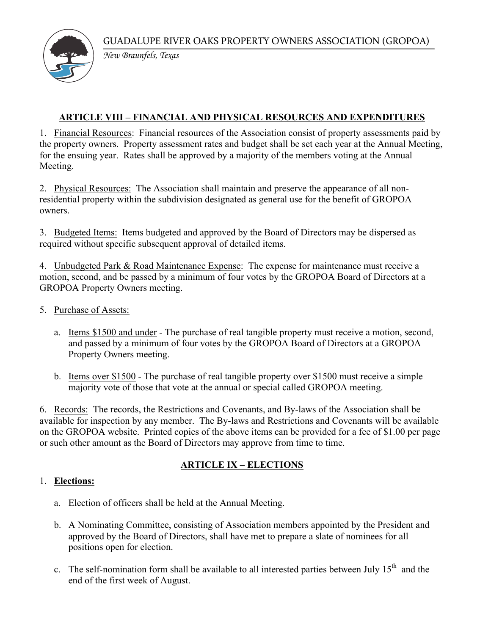

*New Braunfels, Texas*

# **ARTICLE VIII – FINANCIAL AND PHYSICAL RESOURCES AND EXPENDITURES**

1. Financial Resources: Financial resources of the Association consist of property assessments paid by the property owners. Property assessment rates and budget shall be set each year at the Annual Meeting, for the ensuing year. Rates shall be approved by a majority of the members voting at the Annual Meeting.

2. Physical Resources: The Association shall maintain and preserve the appearance of all nonresidential property within the subdivision designated as general use for the benefit of GROPOA owners.

3. Budgeted Items: Items budgeted and approved by the Board of Directors may be dispersed as required without specific subsequent approval of detailed items.

4. Unbudgeted Park & Road Maintenance Expense: The expense for maintenance must receive a motion, second, and be passed by a minimum of four votes by the GROPOA Board of Directors at a GROPOA Property Owners meeting.

## 5. Purchase of Assets:

- a. Items \$1500 and under The purchase of real tangible property must receive a motion, second, and passed by a minimum of four votes by the GROPOA Board of Directors at a GROPOA Property Owners meeting.
- b. Items over \$1500 The purchase of real tangible property over \$1500 must receive a simple majority vote of those that vote at the annual or special called GROPOA meeting.

6. Records: The records, the Restrictions and Covenants, and By-laws of the Association shall be available for inspection by any member. The By-laws and Restrictions and Covenants will be available on the GROPOA website. Printed copies of the above items can be provided for a fee of \$1.00 per page or such other amount as the Board of Directors may approve from time to time.

## **ARTICLE IX – ELECTIONS**

## 1. **Elections:**

- a. Election of officers shall be held at the Annual Meeting.
- b. A Nominating Committee, consisting of Association members appointed by the President and approved by the Board of Directors, shall have met to prepare a slate of nominees for all positions open for election.
- c. The self-nomination form shall be available to all interested parties between July  $15<sup>th</sup>$  and the end of the first week of August.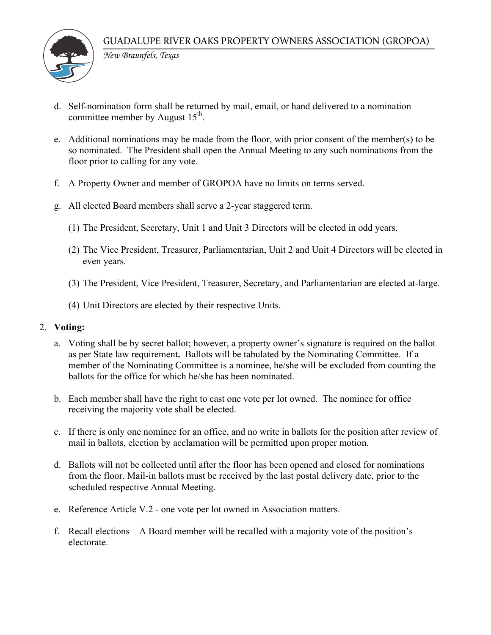

*New Braunfels, Texas*

- d. Self-nomination form shall be returned by mail, email, or hand delivered to a nomination committee member by August  $15<sup>th</sup>$ .
- e. Additional nominations may be made from the floor, with prior consent of the member(s) to be so nominated. The President shall open the Annual Meeting to any such nominations from the floor prior to calling for any vote.
- f. A Property Owner and member of GROPOA have no limits on terms served.
- g. All elected Board members shall serve a 2-year staggered term.
	- (1) The President, Secretary, Unit 1 and Unit 3 Directors will be elected in odd years.
	- (2) The Vice President, Treasurer, Parliamentarian, Unit 2 and Unit 4 Directors will be elected in even years.
	- (3) The President, Vice President, Treasurer, Secretary, and Parliamentarian are elected at-large.
	- (4) Unit Directors are elected by their respective Units.

#### 2. **Voting:**

- a. Voting shall be by secret ballot; however, a property owner's signature is required on the ballot as per State law requirement**.** Ballots will be tabulated by the Nominating Committee. If a member of the Nominating Committee is a nominee, he/she will be excluded from counting the ballots for the office for which he/she has been nominated.
- b. Each member shall have the right to cast one vote per lot owned. The nominee for office receiving the majority vote shall be elected.
- c. If there is only one nominee for an office, and no write in ballots for the position after review of mail in ballots, election by acclamation will be permitted upon proper motion.
- d. Ballots will not be collected until after the floor has been opened and closed for nominations from the floor. Mail-in ballots must be received by the last postal delivery date, prior to the scheduled respective Annual Meeting.
- e. Reference Article V.2 one vote per lot owned in Association matters.
- f. Recall elections A Board member will be recalled with a majority vote of the position's electorate.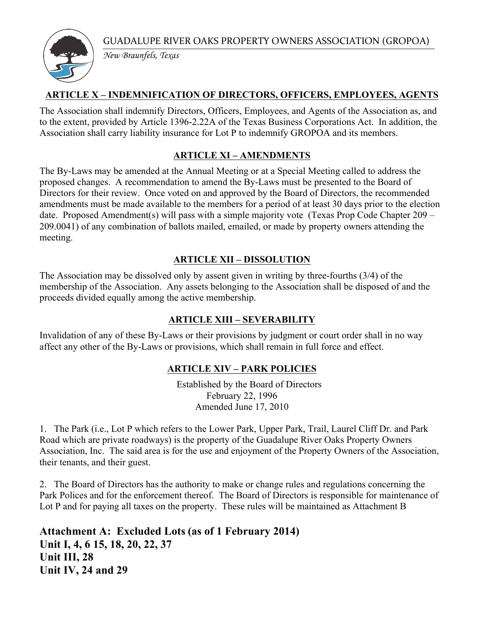

*New Braunfels, Texas*

## **ARTICLE X – INDEMNIFICATION OF DIRECTORS, OFFICERS, EMPLOYEES, AGENTS**

The Association shall indemnify Directors, Officers, Employees, and Agents of the Association as, and to the extent, provided by Article 1396-2.22A of the Texas Business Corporations Act. In addition, the Association shall carry liability insurance for Lot P to indemnify GROPOA and its members.

# **ARTICLE XI – AMENDMENTS**

The By-Laws may be amended at the Annual Meeting or at a Special Meeting called to address the proposed changes. A recommendation to amend the By-Laws must be presented to the Board of Directors for their review. Once voted on and approved by the Board of Directors, the recommended amendments must be made available to the members for a period of at least 30 days prior to the election date. Proposed Amendment(s) will pass with a simple majority vote (Texas Prop Code Chapter 209 – 209.0041) of any combination of ballots mailed, emailed, or made by property owners attending the meeting.

# **ARTICLE XII – DISSOLUTION**

The Association may be dissolved only by assent given in writing by three-fourths (3/4) of the membership of the Association. Any assets belonging to the Association shall be disposed of and the proceeds divided equally among the active membership.

# **ARTICLE XIII – SEVERABILITY**

Invalidation of any of these By-Laws or their provisions by judgment or court order shall in no way affect any other of the By-Laws or provisions, which shall remain in full force and effect.

## **ARTICLE XIV – PARK POLICIES**

Established by the Board of Directors February 22, 1996 Amended June 17, 2010

1. The Park (i.e., Lot P which refers to the Lower Park, Upper Park, Trail, Laurel Cliff Dr. and Park Road which are private roadways) is the property of the Guadalupe River Oaks Property Owners Association, Inc. The said area is for the use and enjoyment of the Property Owners of the Association, their tenants, and their guest.

2. The Board of Directors has the authority to make or change rules and regulations concerning the Park Polices and for the enforcement thereof. The Board of Directors is responsible for maintenance of Lot P and for paying all taxes on the property. These rules will be maintained as Attachment B

**Attachment A: Excluded Lots (as of 1 February 2014) Unit I, 4, 6 15, 18, 20, 22, 37 Unit III, 28 Unit IV, 24 and 29**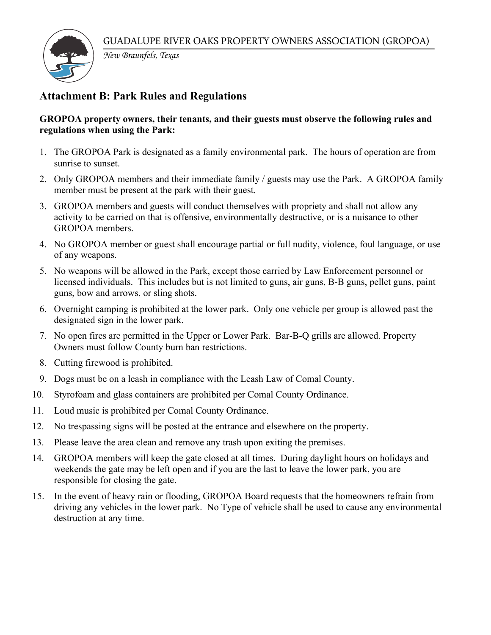

*New Braunfels, Texas*

# **Attachment B: Park Rules and Regulations**

#### **GROPOA property owners, their tenants, and their guests must observe the following rules and regulations when using the Park:**

- 1. The GROPOA Park is designated as a family environmental park. The hours of operation are from sunrise to sunset.
- 2. Only GROPOA members and their immediate family / guests may use the Park. A GROPOA family member must be present at the park with their guest.
- 3. GROPOA members and guests will conduct themselves with propriety and shall not allow any activity to be carried on that is offensive, environmentally destructive, or is a nuisance to other GROPOA members.
- 4. No GROPOA member or guest shall encourage partial or full nudity, violence, foul language, or use of any weapons.
- 5. No weapons will be allowed in the Park, except those carried by Law Enforcement personnel or licensed individuals. This includes but is not limited to guns, air guns, B-B guns, pellet guns, paint guns, bow and arrows, or sling shots.
- 6. Overnight camping is prohibited at the lower park. Only one vehicle per group is allowed past the designated sign in the lower park.
- 7. No open fires are permitted in the Upper or Lower Park. Bar-B-Q grills are allowed. Property Owners must follow County burn ban restrictions.
- 8. Cutting firewood is prohibited.
- 9. Dogs must be on a leash in compliance with the Leash Law of Comal County.
- 10. Styrofoam and glass containers are prohibited per Comal County Ordinance.
- 11. Loud music is prohibited per Comal County Ordinance.
- 12. No trespassing signs will be posted at the entrance and elsewhere on the property.
- 13. Please leave the area clean and remove any trash upon exiting the premises.
- 14. GROPOA members will keep the gate closed at all times. During daylight hours on holidays and weekends the gate may be left open and if you are the last to leave the lower park, you are responsible for closing the gate.
- 15. In the event of heavy rain or flooding, GROPOA Board requests that the homeowners refrain from driving any vehicles in the lower park. No Type of vehicle shall be used to cause any environmental destruction at any time.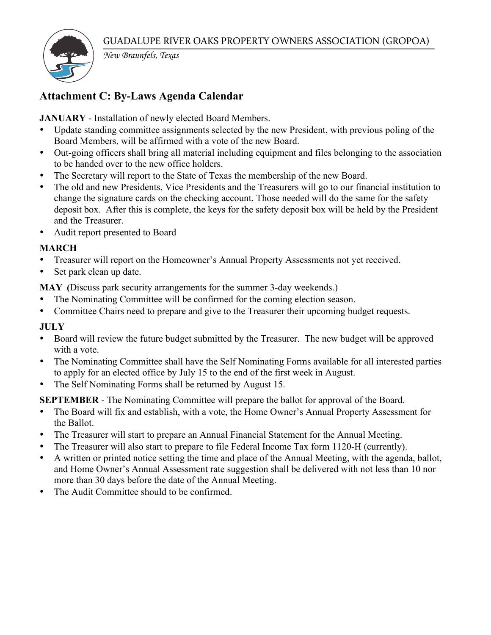

*New Braunfels, Texas*

# **Attachment C: By-Laws Agenda Calendar**

**JANUARY** - Installation of newly elected Board Members.

- Update standing committee assignments selected by the new President, with previous poling of the Board Members, will be affirmed with a vote of the new Board.
- Out-going officers shall bring all material including equipment and files belonging to the association to be handed over to the new office holders.
- The Secretary will report to the State of Texas the membership of the new Board.
- The old and new Presidents, Vice Presidents and the Treasurers will go to our financial institution to change the signature cards on the checking account. Those needed will do the same for the safety deposit box. After this is complete, the keys for the safety deposit box will be held by the President and the Treasurer.
- Audit report presented to Board

# **MARCH**

- Treasurer will report on the Homeowner's Annual Property Assessments not yet received.
- Set park clean up date.

**MAY (**Discuss park security arrangements for the summer 3-day weekends.)

- The Nominating Committee will be confirmed for the coming election season.
- Committee Chairs need to prepare and give to the Treasurer their upcoming budget requests.

# **JULY**

- Board will review the future budget submitted by the Treasurer. The new budget will be approved with a vote.
- The Nominating Committee shall have the Self Nominating Forms available for all interested parties to apply for an elected office by July 15 to the end of the first week in August.
- The Self Nominating Forms shall be returned by August 15.

# **SEPTEMBER** - The Nominating Committee will prepare the ballot for approval of the Board.

- The Board will fix and establish, with a vote, the Home Owner's Annual Property Assessment for the Ballot.
- The Treasurer will start to prepare an Annual Financial Statement for the Annual Meeting.
- The Treasurer will also start to prepare to file Federal Income Tax form 1120-H (currently).
- A written or printed notice setting the time and place of the Annual Meeting, with the agenda, ballot, and Home Owner's Annual Assessment rate suggestion shall be delivered with not less than 10 nor more than 30 days before the date of the Annual Meeting.
- The Audit Committee should to be confirmed.